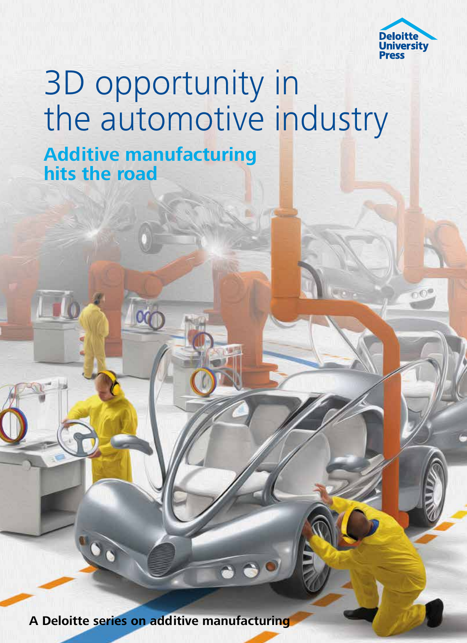

## 3D opportunity in the automotive industry **Additive manufacturing hits the road**

**A Deloitte series on additive manufacturing**

 $\begin{array}{c|c} \hline \bullet & \bullet & \bullet \end{array}$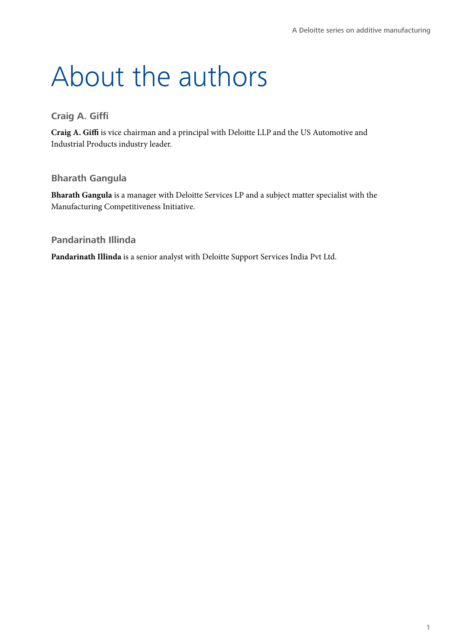# About the authors

### **Craig A. Giffi**

**Craig A. Giffi** is vice chairman and a principal with Deloitte LLP and the US Automotive and Industrial Products industry leader.

### **Bharath Gangula**

**Bharath Gangula** is a manager with Deloitte Services LP and a subject matter specialist with the Manufacturing Competitiveness Initiative.

### **Pandarinath Illinda**

**Pandarinath Illinda** is a senior analyst with Deloitte Support Services India Pvt Ltd.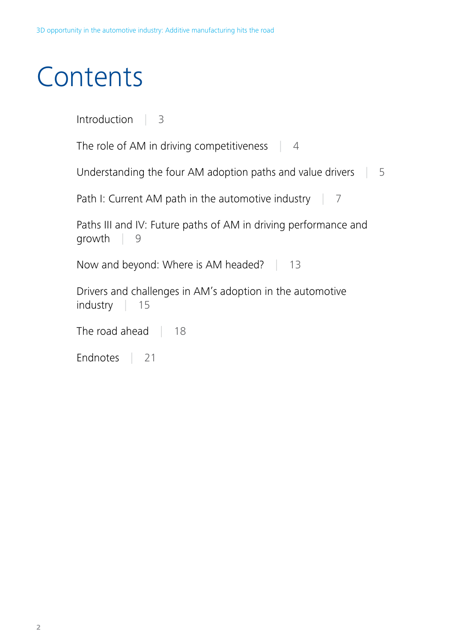# **Contents**

Introduction | 3

The role of AM in driving competitiveness | 4

Understanding the four AM adoption paths and value drivers | 5

Path I: Current AM path in the automotive industry  $\parallel$  7

Paths III and IV: Future paths of AM in driving performance and growth | 9

Now and beyond: Where is AM headed? | 13

Drivers and challenges in AM's adoption in the automotive industry | 15

The road ahead | 18

Endnotes | 21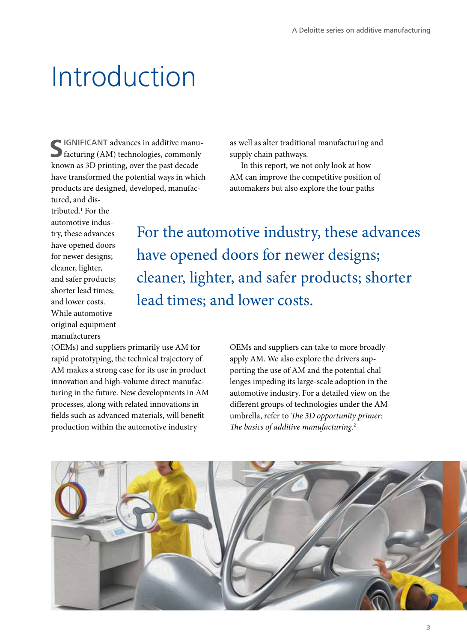## Introduction

**S**IGNIFICANT advances in additive manufacturing (AM) technologies, commonly known as 3D printing, over the past decade have transformed the potential ways in which products are designed, developed, manufac-

as well as alter traditional manufacturing and supply chain pathways.

In this report, we not only look at how AM can improve the competitive position of automakers but also explore the four paths

tured, and distributed.1 For the automotive industry, these advances have opened doors for newer designs; cleaner, lighter, and safer products; shorter lead times; and lower costs. While automotive original equipment manufacturers

For the automotive industry, these advances have opened doors for newer designs; cleaner, lighter, and safer products; shorter lead times; and lower costs.

(OEMs) and suppliers primarily use AM for rapid prototyping, the technical trajectory of AM makes a strong case for its use in product innovation and high-volume direct manufacturing in the future. New developments in AM processes, along with related innovations in fields such as advanced materials, will benefit production within the automotive industry

OEMs and suppliers can take to more broadly apply AM. We also explore the drivers supporting the use of AM and the potential challenges impeding its large-scale adoption in the automotive industry. For a detailed view on the different groups of technologies under the AM umbrella, refer to *The 3D opportunity primer: The basics of additive manufacturing*. 2

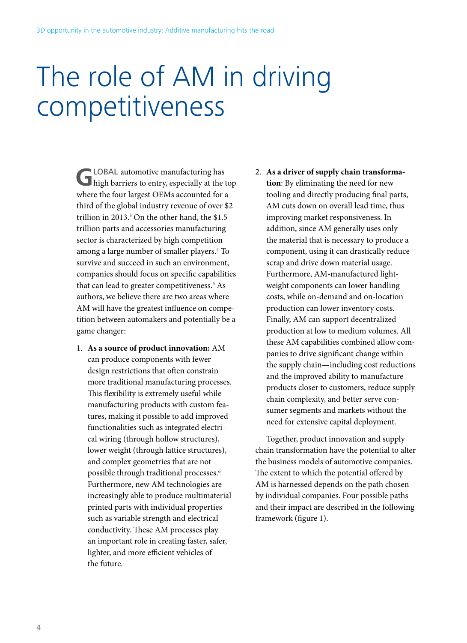# The role of AM in driving competitiveness

**G**LOBAL automotive manufacturing has high barriers to entry, especially at the top where the four largest OEMs accounted for a third of the global industry revenue of over \$2 trillion in 2013.3 On the other hand, the \$1.5 trillion parts and accessories manufacturing sector is characterized by high competition among a large number of smaller players.4 To survive and succeed in such an environment, companies should focus on specific capabilities that can lead to greater competitiveness.<sup>5</sup> As authors, we believe there are two areas where AM will have the greatest influence on competition between automakers and potentially be a game changer:

1. **As a source of product innovation:** AM can produce components with fewer design restrictions that often constrain more traditional manufacturing processes. This flexibility is extremely useful while manufacturing products with custom features, making it possible to add improved functionalities such as integrated electrical wiring (through hollow structures), lower weight (through lattice structures), and complex geometries that are not possible through traditional processes.6 Furthermore, new AM technologies are increasingly able to produce multimaterial printed parts with individual properties such as variable strength and electrical conductivity. These AM processes play an important role in creating faster, safer, lighter, and more efficient vehicles of the future.

### 2. **As a driver of supply chain transformation**: By eliminating the need for new tooling and directly producing final parts, AM cuts down on overall lead time, thus improving market responsiveness. In addition, since AM generally uses only the material that is necessary to produce a component, using it can drastically reduce scrap and drive down material usage. Furthermore, AM-manufactured lightweight components can lower handling costs, while on-demand and on-location production can lower inventory costs. Finally, AM can support decentralized production at low to medium volumes. All these AM capabilities combined allow companies to drive significant change within the supply chain—including cost reductions and the improved ability to manufacture products closer to customers, reduce supply chain complexity, and better serve consumer segments and markets without the need for extensive capital deployment.

Together, product innovation and supply chain transformation have the potential to alter the business models of automotive companies. The extent to which the potential offered by AM is harnessed depends on the path chosen by individual companies. Four possible paths and their impact are described in the following framework (figure 1).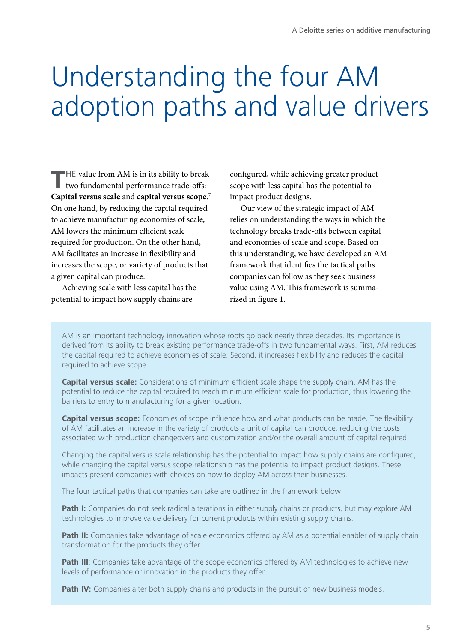# Understanding the four AM adoption paths and value drivers

**T**HE value from AM is in its ability to break two fundamental performance trade-offs: **Capital versus scale** and **capital versus scope**. 7 On one hand, by reducing the capital required to achieve manufacturing economies of scale, AM lowers the minimum efficient scale required for production. On the other hand, AM facilitates an increase in flexibility and increases the scope, or variety of products that a given capital can produce.

Achieving scale with less capital has the potential to impact how supply chains are

configured, while achieving greater product scope with less capital has the potential to impact product designs.

Our view of the strategic impact of AM relies on understanding the ways in which the technology breaks trade-offs between capital and economies of scale and scope. Based on this understanding, we have developed an AM framework that identifies the tactical paths companies can follow as they seek business value using AM. This framework is summarized in figure 1.

AM is an important technology innovation whose roots go back nearly three decades. Its importance is derived from its ability to break existing performance trade-offs in two fundamental ways. First, AM reduces the capital required to achieve economies of scale. Second, it increases flexibility and reduces the capital required to achieve scope.

**Capital versus scale:** Considerations of minimum efficient scale shape the supply chain. AM has the potential to reduce the capital required to reach minimum efficient scale for production, thus lowering the barriers to entry to manufacturing for a given location.

**Capital versus scope:** Economies of scope influence how and what products can be made. The flexibility of AM facilitates an increase in the variety of products a unit of capital can produce, reducing the costs associated with production changeovers and customization and/or the overall amount of capital required.

Changing the capital versus scale relationship has the potential to impact how supply chains are configured, while changing the capital versus scope relationship has the potential to impact product designs. These impacts present companies with choices on how to deploy AM across their businesses.

The four tactical paths that companies can take are outlined in the framework below:

Path I: Companies do not seek radical alterations in either supply chains or products, but may explore AM technologies to improve value delivery for current products within existing supply chains.

**Path II:** Companies take advantage of scale economics offered by AM as a potential enabler of supply chain transformation for the products they offer.

Path III: Companies take advantage of the scope economics offered by AM technologies to achieve new levels of performance or innovation in the products they offer.

**Path IV:** Companies alter both supply chains and products in the pursuit of new business models.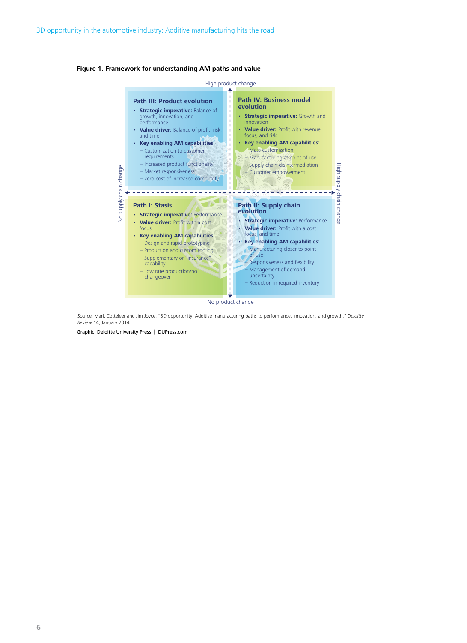



Source: Mark Cotteleer and Jim Joyce, "3D opportunity: Additive manufacturing paths to performance, innovation, and growth," Deloitte Review 14, January 2014.

Graphic: Deloitte University Press | DUPress.com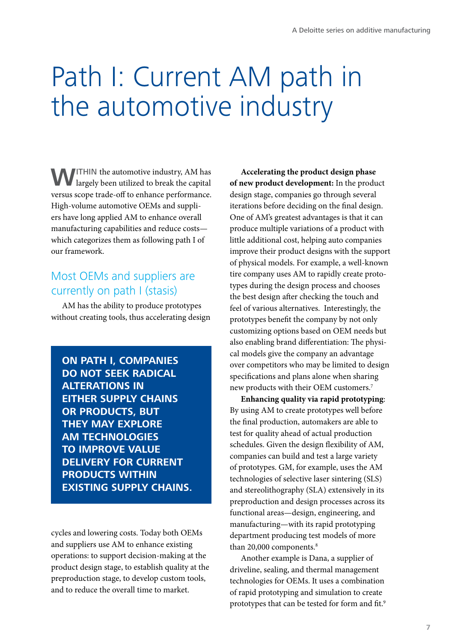# Path I: Current AM path in the automotive industry

**WITHIN** the automotive industry, AM has largely been utilized to break the capital versus scope trade-off to enhance performance. High-volume automotive OEMs and suppliers have long applied AM to enhance overall manufacturing capabilities and reduce costs which categorizes them as following path I of our framework.

## Most OEMs and suppliers are currently on path I (stasis)

AM has the ability to produce prototypes without creating tools, thus accelerating design

**ON PATH I, COMPANIES DO NOT SEEK RADICAL ALTERATIONS IN EITHER SUPPLY CHAINS OR PRODUCTS, BUT THEY MAY EXPLORE AM TECHNOLOGIES TO IMPROVE VALUE DELIVERY FOR CURRENT PRODUCTS WITHIN EXISTING SUPPLY CHAINS.**

cycles and lowering costs. Today both OEMs and suppliers use AM to enhance existing operations: to support decision-making at the product design stage, to establish quality at the preproduction stage, to develop custom tools, and to reduce the overall time to market.

**Accelerating the product design phase of new product development:** In the product design stage, companies go through several iterations before deciding on the final design. One of AM's greatest advantages is that it can produce multiple variations of a product with little additional cost, helping auto companies improve their product designs with the support of physical models. For example, a well-known tire company uses AM to rapidly create prototypes during the design process and chooses the best design after checking the touch and feel of various alternatives. Interestingly, the prototypes benefit the company by not only customizing options based on OEM needs but also enabling brand differentiation: The physical models give the company an advantage over competitors who may be limited to design specifications and plans alone when sharing new products with their OEM customers.7

**Enhancing quality via rapid prototyping**: By using AM to create prototypes well before the final production, automakers are able to test for quality ahead of actual production schedules. Given the design flexibility of AM, companies can build and test a large variety of prototypes. GM, for example, uses the AM technologies of selective laser sintering (SLS) and stereolithography (SLA) extensively in its preproduction and design processes across its functional areas—design, engineering, and manufacturing—with its rapid prototyping department producing test models of more than 20,000 components.<sup>8</sup>

Another example is Dana, a supplier of driveline, sealing, and thermal management technologies for OEMs. It uses a combination of rapid prototyping and simulation to create prototypes that can be tested for form and fit.<sup>9</sup>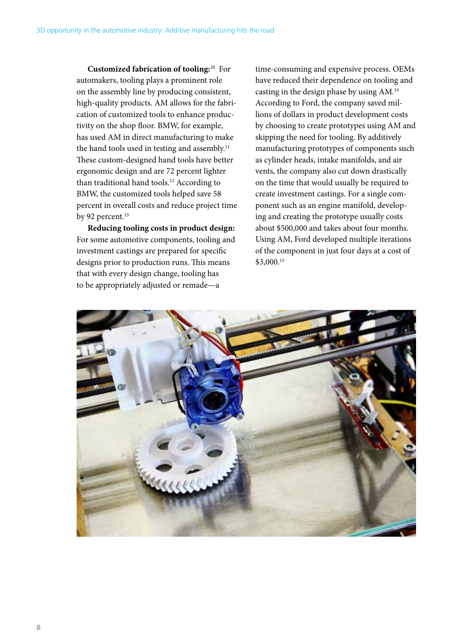**Customized fabrication of tooling:**10 For automakers, tooling plays a prominent role on the assembly line by producing consistent, high-quality products. AM allows for the fabrication of customized tools to enhance productivity on the shop floor. BMW, for example, has used AM in direct manufacturing to make the hand tools used in testing and assembly.<sup>11</sup> These custom-designed hand tools have better ergonomic design and are 72 percent lighter than traditional hand tools.<sup>12</sup> According to BMW, the customized tools helped save 58 percent in overall costs and reduce project time by 92 percent.<sup>13</sup>

**Reducing tooling costs in product design:**  For some automotive components, tooling and investment castings are prepared for specific designs prior to production runs. This means that with every design change, tooling has to be appropriately adjusted or remade—a

time-consuming and expensive process. OEMs have reduced their dependence on tooling and casting in the design phase by using AM.14 According to Ford, the company saved millions of dollars in product development costs by choosing to create prototypes using AM and skipping the need for tooling. By additively manufacturing prototypes of components such as cylinder heads, intake manifolds, and air vents, the company also cut down drastically on the time that would usually be required to create investment castings. For a single component such as an engine manifold, developing and creating the prototype usually costs about \$500,000 and takes about four months. Using AM, Ford developed multiple iterations of the component in just four days at a cost of \$3,000.15

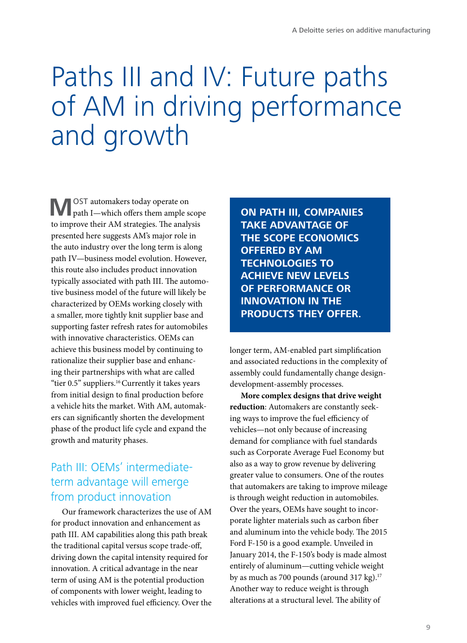# Paths III and IV: Future paths of AM in driving performance and growth

**M**OST automakers today operate on path I—which offers them ample scope to improve their AM strategies. The analysis presented here suggests AM's major role in the auto industry over the long term is along path IV—business model evolution. However, this route also includes product innovation typically associated with path III. The automotive business model of the future will likely be characterized by OEMs working closely with a smaller, more tightly knit supplier base and supporting faster refresh rates for automobiles with innovative characteristics. OEMs can achieve this business model by continuing to rationalize their supplier base and enhancing their partnerships with what are called "tier 0.5" suppliers.<sup>16</sup> Currently it takes years from initial design to final production before a vehicle hits the market. With AM, automakers can significantly shorten the development phase of the product life cycle and expand the growth and maturity phases.

## Path III: OEMs' intermediateterm advantage will emerge from product innovation

Our framework characterizes the use of AM for product innovation and enhancement as path III. AM capabilities along this path break the traditional capital versus scope trade-off, driving down the capital intensity required for innovation. A critical advantage in the near term of using AM is the potential production of components with lower weight, leading to vehicles with improved fuel efficiency. Over the

**ON PATH III, COMPANIES TAKE ADVANTAGE OF THE SCOPE ECONOMICS OFFERED BY AM TECHNOLOGIES TO ACHIEVE NEW LEVELS OF PERFORMANCE OR INNOVATION IN THE PRODUCTS THEY OFFER.**

longer term, AM-enabled part simplification and associated reductions in the complexity of assembly could fundamentally change designdevelopment-assembly processes.

**More complex designs that drive weight reduction**: Automakers are constantly seeking ways to improve the fuel efficiency of vehicles—not only because of increasing demand for compliance with fuel standards such as Corporate Average Fuel Economy but also as a way to grow revenue by delivering greater value to consumers. One of the routes that automakers are taking to improve mileage is through weight reduction in automobiles. Over the years, OEMs have sought to incorporate lighter materials such as carbon fiber and aluminum into the vehicle body. The 2015 Ford F-150 is a good example. Unveiled in January 2014, the F-150's body is made almost entirely of aluminum—cutting vehicle weight by as much as 700 pounds (around 317 kg). $17$ Another way to reduce weight is through alterations at a structural level. The ability of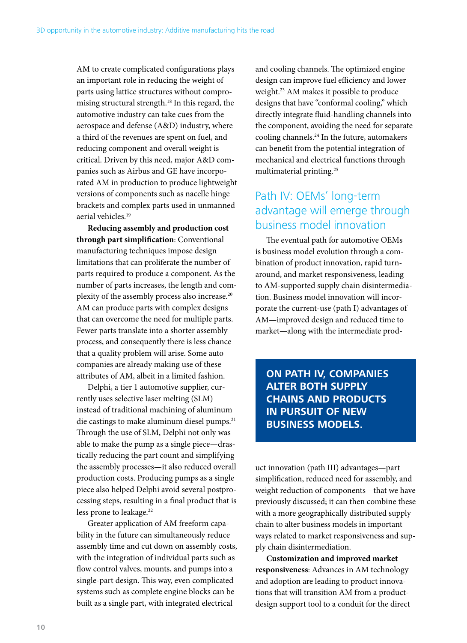AM to create complicated configurations plays an important role in reducing the weight of parts using lattice structures without compromising structural strength.18 In this regard, the automotive industry can take cues from the aerospace and defense (A&D) industry, where a third of the revenues are spent on fuel, and reducing component and overall weight is critical. Driven by this need, major A&D companies such as Airbus and GE have incorporated AM in production to produce lightweight versions of components such as nacelle hinge brackets and complex parts used in unmanned aerial vehicles.19

**Reducing assembly and production cost through part simplification**: Conventional manufacturing techniques impose design limitations that can proliferate the number of parts required to produce a component. As the number of parts increases, the length and complexity of the assembly process also increase.20 AM can produce parts with complex designs that can overcome the need for multiple parts. Fewer parts translate into a shorter assembly process, and consequently there is less chance that a quality problem will arise. Some auto companies are already making use of these attributes of AM, albeit in a limited fashion.

Delphi, a tier 1 automotive supplier, currently uses selective laser melting (SLM) instead of traditional machining of aluminum die castings to make aluminum diesel pumps.<sup>21</sup> Through the use of SLM, Delphi not only was able to make the pump as a single piece—drastically reducing the part count and simplifying the assembly processes—it also reduced overall production costs. Producing pumps as a single piece also helped Delphi avoid several postprocessing steps, resulting in a final product that is less prone to leakage.<sup>22</sup>

Greater application of AM freeform capability in the future can simultaneously reduce assembly time and cut down on assembly costs, with the integration of individual parts such as flow control valves, mounts, and pumps into a single-part design. This way, even complicated systems such as complete engine blocks can be built as a single part, with integrated electrical

and cooling channels. The optimized engine design can improve fuel efficiency and lower weight.<sup>23</sup> AM makes it possible to produce designs that have "conformal cooling," which directly integrate fluid-handling channels into the component, avoiding the need for separate cooling channels.24 In the future, automakers can benefit from the potential integration of mechanical and electrical functions through multimaterial printing.25

## Path IV: OEMs' long-term advantage will emerge through business model innovation

The eventual path for automotive OEMs is business model evolution through a combination of product innovation, rapid turnaround, and market responsiveness, leading to AM-supported supply chain disintermediation. Business model innovation will incorporate the current-use (path I) advantages of AM—improved design and reduced time to market—along with the intermediate prod-

**ON PATH IV, COMPANIES ALTER BOTH SUPPLY CHAINS AND PRODUCTS IN PURSUIT OF NEW BUSINESS MODELS.**

uct innovation (path III) advantages—part simplification, reduced need for assembly, and weight reduction of components—that we have previously discussed; it can then combine these with a more geographically distributed supply chain to alter business models in important ways related to market responsiveness and supply chain disintermediation.

**Customization and improved market responsiveness**: Advances in AM technology and adoption are leading to product innovations that will transition AM from a productdesign support tool to a conduit for the direct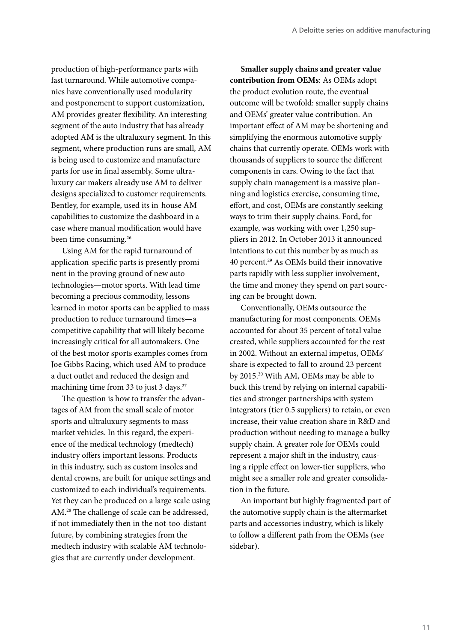production of high-performance parts with fast turnaround. While automotive companies have conventionally used modularity and postponement to support customization, AM provides greater flexibility. An interesting segment of the auto industry that has already adopted AM is the ultraluxury segment. In this segment, where production runs are small, AM is being used to customize and manufacture parts for use in final assembly. Some ultraluxury car makers already use AM to deliver designs specialized to customer requirements. Bentley, for example, used its in-house AM capabilities to customize the dashboard in a case where manual modification would have been time consuming.<sup>26</sup>

Using AM for the rapid turnaround of application-specific parts is presently prominent in the proving ground of new auto technologies—motor sports. With lead time becoming a precious commodity, lessons learned in motor sports can be applied to mass production to reduce turnaround times—a competitive capability that will likely become increasingly critical for all automakers. One of the best motor sports examples comes from Joe Gibbs Racing, which used AM to produce a duct outlet and reduced the design and machining time from 33 to just 3 days.<sup>27</sup>

The question is how to transfer the advantages of AM from the small scale of motor sports and ultraluxury segments to massmarket vehicles. In this regard, the experience of the medical technology (medtech) industry offers important lessons. Products in this industry, such as custom insoles and dental crowns, are built for unique settings and customized to each individual's requirements. Yet they can be produced on a large scale using AM.28 The challenge of scale can be addressed, if not immediately then in the not-too-distant future, by combining strategies from the medtech industry with scalable AM technologies that are currently under development.

**Smaller supply chains and greater value contribution from OEMs**: As OEMs adopt the product evolution route, the eventual outcome will be twofold: smaller supply chains and OEMs' greater value contribution. An important effect of AM may be shortening and simplifying the enormous automotive supply chains that currently operate. OEMs work with thousands of suppliers to source the different components in cars. Owing to the fact that supply chain management is a massive planning and logistics exercise, consuming time, effort, and cost, OEMs are constantly seeking ways to trim their supply chains. Ford, for example, was working with over 1,250 suppliers in 2012. In October 2013 it announced intentions to cut this number by as much as 40 percent.29 As OEMs build their innovative parts rapidly with less supplier involvement, the time and money they spend on part sourcing can be brought down.

Conventionally, OEMs outsource the manufacturing for most components. OEMs accounted for about 35 percent of total value created, while suppliers accounted for the rest in 2002. Without an external impetus, OEMs' share is expected to fall to around 23 percent by 2015.30 With AM, OEMs may be able to buck this trend by relying on internal capabilities and stronger partnerships with system integrators (tier 0.5 suppliers) to retain, or even increase, their value creation share in R&D and production without needing to manage a bulky supply chain. A greater role for OEMs could represent a major shift in the industry, causing a ripple effect on lower-tier suppliers, who might see a smaller role and greater consolidation in the future.

An important but highly fragmented part of the automotive supply chain is the aftermarket parts and accessories industry, which is likely to follow a different path from the OEMs (see sidebar).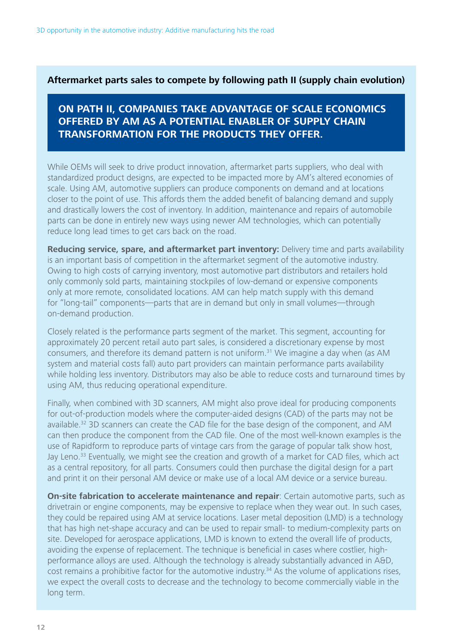### **Aftermarket parts sales to compete by following path II (supply chain evolution)**

### **ON PATH II, COMPANIES TAKE ADVANTAGE OF SCALE ECONOMICS OFFERED BY AM AS A POTENTIAL ENABLER OF SUPPLY CHAIN TRANSFORMATION FOR THE PRODUCTS THEY OFFER.**

While OEMs will seek to drive product innovation, aftermarket parts suppliers, who deal with standardized product designs, are expected to be impacted more by AM's altered economies of scale. Using AM, automotive suppliers can produce components on demand and at locations closer to the point of use. This affords them the added benefit of balancing demand and supply and drastically lowers the cost of inventory. In addition, maintenance and repairs of automobile parts can be done in entirely new ways using newer AM technologies, which can potentially reduce long lead times to get cars back on the road.

**Reducing service, spare, and aftermarket part inventory:** Delivery time and parts availability is an important basis of competition in the aftermarket segment of the automotive industry. Owing to high costs of carrying inventory, most automotive part distributors and retailers hold only commonly sold parts, maintaining stockpiles of low-demand or expensive components only at more remote, consolidated locations. AM can help match supply with this demand for "long-tail" components—parts that are in demand but only in small volumes—through on-demand production.

Closely related is the performance parts segment of the market. This segment, accounting for approximately 20 percent retail auto part sales, is considered a discretionary expense by most consumers, and therefore its demand pattern is not uniform.31 We imagine a day when (as AM system and material costs fall) auto part providers can maintain performance parts availability while holding less inventory. Distributors may also be able to reduce costs and turnaround times by using AM, thus reducing operational expenditure.

Finally, when combined with 3D scanners, AM might also prove ideal for producing components for out-of-production models where the computer-aided designs (CAD) of the parts may not be available.<sup>32</sup> 3D scanners can create the CAD file for the base design of the component, and AM can then produce the component from the CAD file. One of the most well-known examples is the use of Rapidform to reproduce parts of vintage cars from the garage of popular talk show host, Jay Leno.<sup>33</sup> Eventually, we might see the creation and growth of a market for CAD files, which act as a central repository, for all parts. Consumers could then purchase the digital design for a part and print it on their personal AM device or make use of a local AM device or a service bureau.

**On-site fabrication to accelerate maintenance and repair**: Certain automotive parts, such as drivetrain or engine components, may be expensive to replace when they wear out. In such cases, they could be repaired using AM at service locations. Laser metal deposition (LMD) is a technology that has high net-shape accuracy and can be used to repair small- to medium-complexity parts on site. Developed for aerospace applications, LMD is known to extend the overall life of products, avoiding the expense of replacement. The technique is beneficial in cases where costlier, highperformance alloys are used. Although the technology is already substantially advanced in A&D, cost remains a prohibitive factor for the automotive industry.<sup>34</sup> As the volume of applications rises, we expect the overall costs to decrease and the technology to become commercially viable in the long term.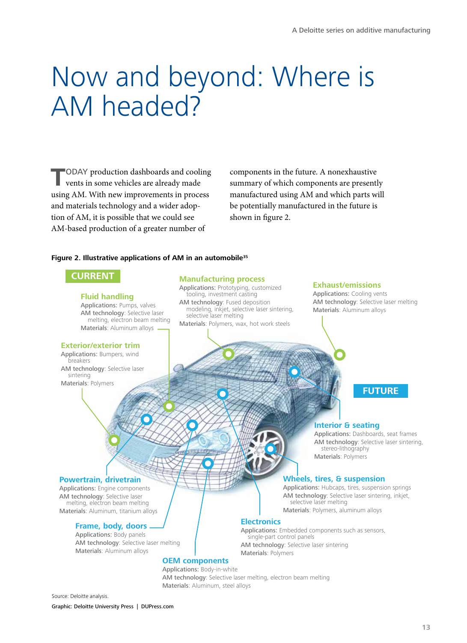## Now and beyond: Where is AM headed?

**T**ODAY production dashboards and cooling vents in some vehicles are already made using AM. With new improvements in process and materials technology and a wider adoption of AM, it is possible that we could see AM-based production of a greater number of

components in the future. A nonexhaustive summary of which components are presently manufactured using AM and which parts will be potentially manufactured in the future is shown in figure 2.

### **Figure 2. Illustrative applications of AM in an automobile35**

### **CURRENT**

#### **Fluid handling**

Applications: Pumps, valves AM technology: Selective laser melting, electron beam melting Materials: Aluminum alloys

### **Exterior/exterior trim**

Applications: Bumpers, wind breakers AM technology: Selective laser sintering Materials: Polymers

#### **Manufacturing process**

Applications: Prototyping, customized tooling, investment casting AM technology: Fused deposition modeling, inkjet, selective laser sintering, selective laser melting Materials: Polymers, wax, hot work steels

#### **Exhaust/emissions**

Applications: Cooling vents AM technology: Selective laser melting Materials: Aluminum alloys

## **FUTURE**

### **Interior & seating**

Applications: Dashboards, seat frames AM technology: Selective laser sintering, stereo-lithography Materials: Polymers

### **Wheels, tires, & suspension**

Applications: Hubcaps, tires, suspension springs AM technology: Selective laser sintering, inkjet,<br>selective laser melting Materials: Polymers, aluminum alloys

### **Electronics**

Applications: Embedded components such as sensors, single-part control panels AM technology: Selective laser sintering Materials: Polymers

### **Powertrain, drivetrain**

Applications: Engine components AM technology: Selective laser melting, electron beam melting Materials: Aluminum, titanium alloys

### **Frame, body, doors**

Applications: Body panels AM technology: Selective laser melting Materials: Aluminum alloys

#### **OEM components**

Applications: Body-in-white AM technology: Selective laser melting, electron beam melting Materials: Aluminum, steel alloys

Source: Deloitte analysis.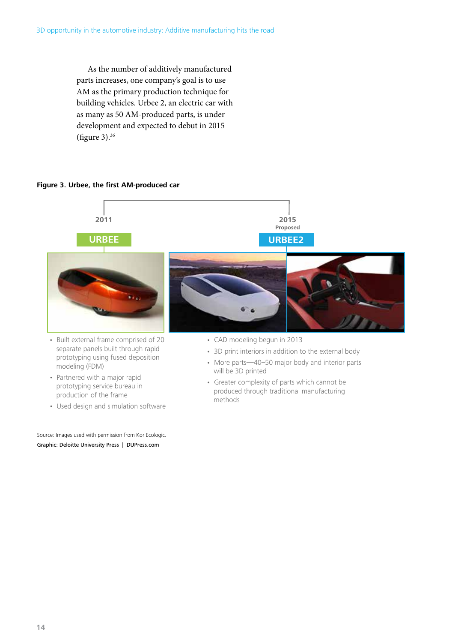As the number of additively manufactured parts increases, one company's goal is to use AM as the primary production technique for building vehicles. Urbee 2, an electric car with as many as 50 AM-produced parts, is under development and expected to debut in 2015 (figure 3).36

### **Figure 3. Urbee, the first AM-produced car**



- Partnered with a major rapid prototyping service bureau in production of the frame
- Used design and simulation software

Graphic: Deloitte University Press | DUPress.com Source: Images used with permission from Kor Ecologic. • Greater complexity of parts which cannot be produced through traditional manufacturing methods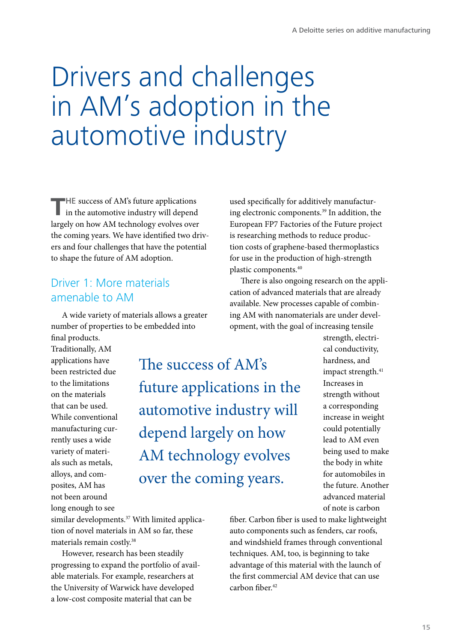## Drivers and challenges in AM's adoption in the automotive industry

THE success of AM's future applications in the automotive industry will depend largely on how AM technology evolves over the coming years. We have identified two drivers and four challenges that have the potential to shape the future of AM adoption.

### Driver 1: More materials amenable to AM

A wide variety of materials allows a greater number of properties to be embedded into final products.

Traditionally, AM applications have been restricted due to the limitations on the materials that can be used. While conventional manufacturing currently uses a wide variety of materials such as metals, alloys, and composites, AM has not been around long enough to see

The success of AM's future applications in the automotive industry will depend largely on how AM technology evolves over the coming years.

used specifically for additively manufacturing electronic components.39 In addition, the European FP7 Factories of the Future project is researching methods to reduce production costs of graphene-based thermoplastics for use in the production of high-strength plastic components.40

There is also ongoing research on the application of advanced materials that are already available. New processes capable of combining AM with nanomaterials are under development, with the goal of increasing tensile

> strength, electrical conductivity, hardness, and impact strength.<sup>41</sup> Increases in strength without a corresponding increase in weight could potentially lead to AM even being used to make the body in white for automobiles in the future. Another advanced material of note is carbon

similar developments.<sup>37</sup> With limited application of novel materials in AM so far, these materials remain costly.38

However, research has been steadily progressing to expand the portfolio of available materials. For example, researchers at the University of Warwick have developed a low-cost composite material that can be

fiber. Carbon fiber is used to make lightweight auto components such as fenders, car roofs, and windshield frames through conventional techniques. AM, too, is beginning to take advantage of this material with the launch of the first commercial AM device that can use carbon fiber.<sup>42</sup>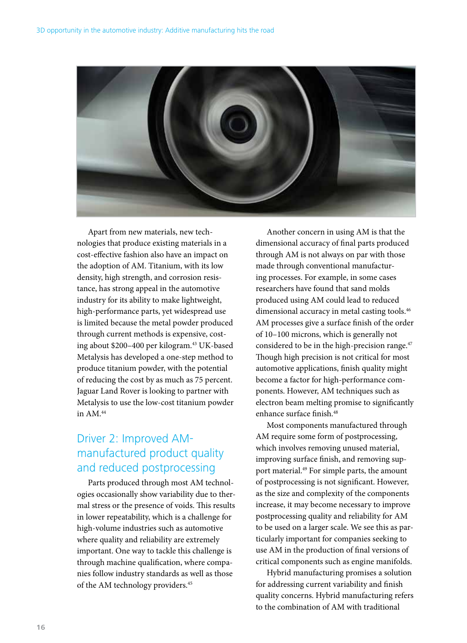

Apart from new materials, new technologies that produce existing materials in a cost-effective fashion also have an impact on the adoption of AM. Titanium, with its low density, high strength, and corrosion resistance, has strong appeal in the automotive industry for its ability to make lightweight, high-performance parts, yet widespread use is limited because the metal powder produced through current methods is expensive, costing about \$200-400 per kilogram.<sup>43</sup> UK-based Metalysis has developed a one-step method to produce titanium powder, with the potential of reducing the cost by as much as 75 percent. Jaguar Land Rover is looking to partner with Metalysis to use the low-cost titanium powder in  $AM.44$ 

## Driver 2: Improved AMmanufactured product quality and reduced postprocessing

Parts produced through most AM technologies occasionally show variability due to thermal stress or the presence of voids. This results in lower repeatability, which is a challenge for high-volume industries such as automotive where quality and reliability are extremely important. One way to tackle this challenge is through machine qualification, where companies follow industry standards as well as those of the AM technology providers.<sup>45</sup>

Another concern in using AM is that the dimensional accuracy of final parts produced through AM is not always on par with those made through conventional manufacturing processes. For example, in some cases researchers have found that sand molds produced using AM could lead to reduced dimensional accuracy in metal casting tools.<sup>46</sup> AM processes give a surface finish of the order of 10–100 microns, which is generally not considered to be in the high-precision range.<sup>47</sup> Though high precision is not critical for most automotive applications, finish quality might become a factor for high-performance components. However, AM techniques such as electron beam melting promise to significantly enhance surface finish.<sup>48</sup>

Most components manufactured through AM require some form of postprocessing, which involves removing unused material, improving surface finish, and removing support material.<sup>49</sup> For simple parts, the amount of postprocessing is not significant. However, as the size and complexity of the components increase, it may become necessary to improve postprocessing quality and reliability for AM to be used on a larger scale. We see this as particularly important for companies seeking to use AM in the production of final versions of critical components such as engine manifolds.

Hybrid manufacturing promises a solution for addressing current variability and finish quality concerns. Hybrid manufacturing refers to the combination of AM with traditional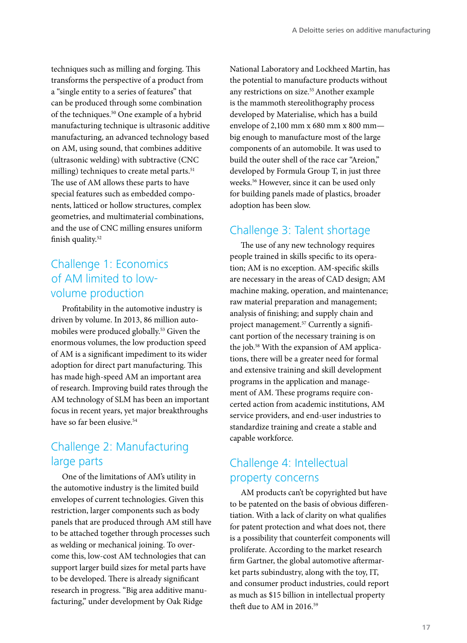techniques such as milling and forging. This transforms the perspective of a product from a "single entity to a series of features" that can be produced through some combination of the techniques.50 One example of a hybrid manufacturing technique is ultrasonic additive manufacturing, an advanced technology based on AM, using sound, that combines additive (ultrasonic welding) with subtractive (CNC milling) techniques to create metal parts.<sup>51</sup> The use of AM allows these parts to have special features such as embedded components, latticed or hollow structures, complex geometries, and multimaterial combinations, and the use of CNC milling ensures uniform finish quality.<sup>52</sup>

## Challenge 1: Economics of AM limited to lowvolume production

Profitability in the automotive industry is driven by volume. In 2013, 86 million automobiles were produced globally.<sup>53</sup> Given the enormous volumes, the low production speed of AM is a significant impediment to its wider adoption for direct part manufacturing. This has made high-speed AM an important area of research. Improving build rates through the AM technology of SLM has been an important focus in recent years, yet major breakthroughs have so far been elusive.<sup>54</sup>

## Challenge 2: Manufacturing large parts

One of the limitations of AM's utility in the automotive industry is the limited build envelopes of current technologies. Given this restriction, larger components such as body panels that are produced through AM still have to be attached together through processes such as welding or mechanical joining. To overcome this, low-cost AM technologies that can support larger build sizes for metal parts have to be developed. There is already significant research in progress. "Big area additive manufacturing," under development by Oak Ridge

National Laboratory and Lockheed Martin, has the potential to manufacture products without any restrictions on size.<sup>55</sup> Another example is the mammoth stereolithography process developed by Materialise, which has a build envelope of 2,100 mm x 680 mm x 800 mm big enough to manufacture most of the large components of an automobile. It was used to build the outer shell of the race car "Areion," developed by Formula Group T, in just three weeks.56 However, since it can be used only for building panels made of plastics, broader adoption has been slow.

## Challenge 3: Talent shortage

The use of any new technology requires people trained in skills specific to its operation; AM is no exception. AM-specific skills are necessary in the areas of CAD design; AM machine making, operation, and maintenance; raw material preparation and management; analysis of finishing; and supply chain and project management.<sup>57</sup> Currently a significant portion of the necessary training is on the job.<sup>58</sup> With the expansion of AM applications, there will be a greater need for formal and extensive training and skill development programs in the application and management of AM. These programs require concerted action from academic institutions, AM service providers, and end-user industries to standardize training and create a stable and capable workforce.

## Challenge 4: Intellectual property concerns

AM products can't be copyrighted but have to be patented on the basis of obvious differentiation. With a lack of clarity on what qualifies for patent protection and what does not, there is a possibility that counterfeit components will proliferate. According to the market research firm Gartner, the global automotive aftermarket parts subindustry, along with the toy, IT, and consumer product industries, could report as much as \$15 billion in intellectual property theft due to AM in 2016.59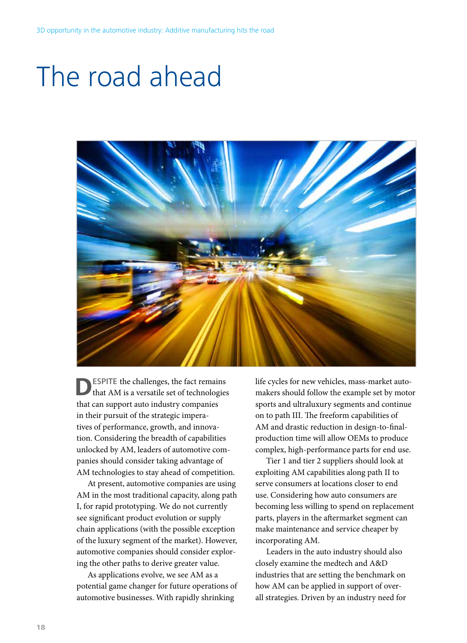# The road ahead



**DESPITE** the challenges, the fact remains that AM is a versatile set of technologies that can support auto industry companies in their pursuit of the strategic imperatives of performance, growth, and innovation. Considering the breadth of capabilities unlocked by AM, leaders of automotive companies should consider taking advantage of AM technologies to stay ahead of competition.

At present, automotive companies are using AM in the most traditional capacity, along path I, for rapid prototyping. We do not currently see significant product evolution or supply chain applications (with the possible exception of the luxury segment of the market). However, automotive companies should consider exploring the other paths to derive greater value.

As applications evolve, we see AM as a potential game changer for future operations of automotive businesses. With rapidly shrinking

life cycles for new vehicles, mass-market automakers should follow the example set by motor sports and ultraluxury segments and continue on to path III. The freeform capabilities of AM and drastic reduction in design-to-finalproduction time will allow OEMs to produce complex, high-performance parts for end use.

Tier 1 and tier 2 suppliers should look at exploiting AM capabilities along path II to serve consumers at locations closer to end use. Considering how auto consumers are becoming less willing to spend on replacement parts, players in the aftermarket segment can make maintenance and service cheaper by incorporating AM.

Leaders in the auto industry should also closely examine the medtech and A&D industries that are setting the benchmark on how AM can be applied in support of overall strategies. Driven by an industry need for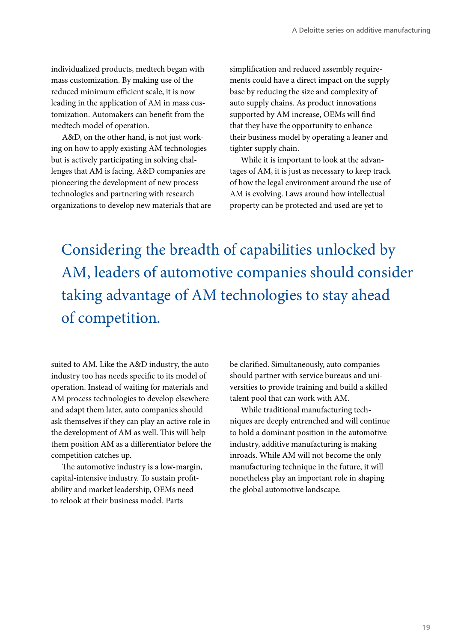individualized products, medtech began with mass customization. By making use of the reduced minimum efficient scale, it is now leading in the application of AM in mass customization. Automakers can benefit from the medtech model of operation.

A&D, on the other hand, is not just working on how to apply existing AM technologies but is actively participating in solving challenges that AM is facing. A&D companies are pioneering the development of new process technologies and partnering with research organizations to develop new materials that are simplification and reduced assembly requirements could have a direct impact on the supply base by reducing the size and complexity of auto supply chains. As product innovations supported by AM increase, OEMs will find that they have the opportunity to enhance their business model by operating a leaner and tighter supply chain.

While it is important to look at the advantages of AM, it is just as necessary to keep track of how the legal environment around the use of AM is evolving. Laws around how intellectual property can be protected and used are yet to

Considering the breadth of capabilities unlocked by AM, leaders of automotive companies should consider taking advantage of AM technologies to stay ahead of competition.

suited to AM. Like the A&D industry, the auto industry too has needs specific to its model of operation. Instead of waiting for materials and AM process technologies to develop elsewhere and adapt them later, auto companies should ask themselves if they can play an active role in the development of AM as well. This will help them position AM as a differentiator before the competition catches up.

The automotive industry is a low-margin, capital-intensive industry. To sustain profitability and market leadership, OEMs need to relook at their business model. Parts

be clarified. Simultaneously, auto companies should partner with service bureaus and universities to provide training and build a skilled talent pool that can work with AM.

While traditional manufacturing techniques are deeply entrenched and will continue to hold a dominant position in the automotive industry, additive manufacturing is making inroads. While AM will not become the only manufacturing technique in the future, it will nonetheless play an important role in shaping the global automotive landscape.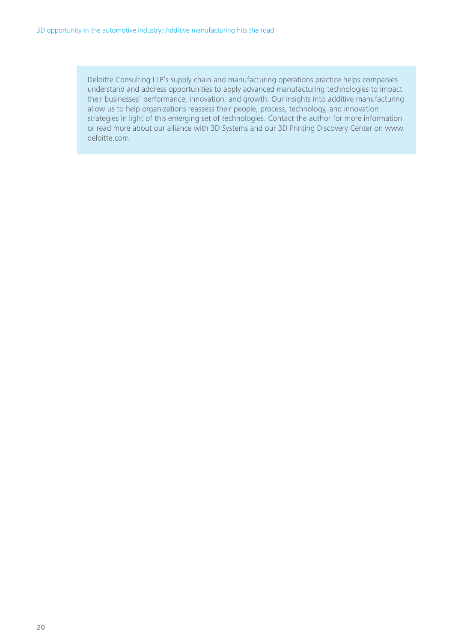Deloitte Consulting LLP's supply chain and manufacturing operations practice helps companies understand and address opportunities to apply advanced manufacturing technologies to impact their businesses' performance, innovation, and growth. Our insights into additive manufacturing allow us to help organizations reassess their people, process, technology, and innovation strategies in light of this emerging set of technologies. Contact the author for more information or read more about our alliance with 3D Systems and our 3D Printing Discovery Center on www. deloitte.com.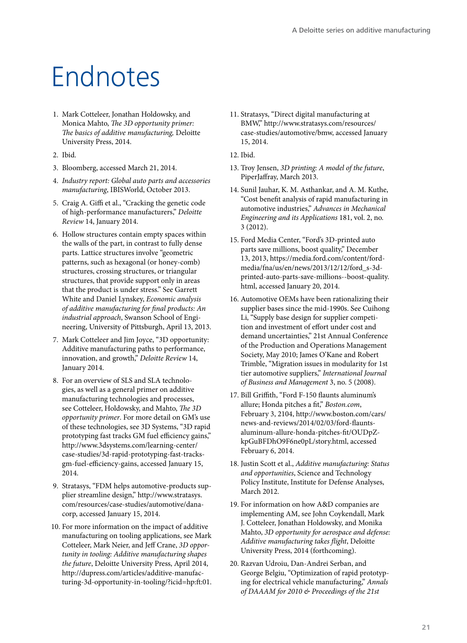# Endnotes

- 1. Mark Cotteleer, Jonathan Holdowsky, and Monica Mahto, *The 3D opportunity primer: The basics of additive manufacturing,* Deloitte University Press, 2014.
- 2. Ibid.
- 3. Bloomberg, accessed March 21, 2014.
- 4. *Industry report: Global auto parts and accessories manufacturing*, IBISWorld, October 2013.
- 5. Craig A. Giffi et al., "Cracking the genetic code of high-performance manufacturers," *Deloitte Review* 14, January 2014.
- 6. Hollow structures contain empty spaces within the walls of the part, in contrast to fully dense parts. Lattice structures involve "geometric patterns, such as hexagonal (or honey-comb) structures, crossing structures, or triangular structures, that provide support only in areas that the product is under stress." See Garrett White and Daniel Lynskey, *Economic analysis of additive manufacturing for final products: An industrial approach*, Swanson School of Engineering, University of Pittsburgh, April 13, 2013.
- 7. Mark Cotteleer and Jim Joyce, "3D opportunity: Additive manufacturing paths to performance, innovation, and growth," *Deloitte Review* 14, January 2014.
- 8. For an overview of SLS and SLA technologies, as well as a general primer on additive manufacturing technologies and processes, see Cotteleer, Holdowsky, and Mahto, *The 3D opportunity primer*. For more detail on GM's use of these technologies, see 3D Systems, "3D rapid prototyping fast tracks GM fuel efficiency gains," http://www.3dsystems.com/learning-center/ case-studies/3d-rapid-prototyping-fast-tracksgm-fuel-efficiency-gains, accessed January 15, 2014.
- 9. Stratasys, "FDM helps automotive-products supplier streamline design," http://www.stratasys. com/resources/case-studies/automotive/danacorp, accessed January 15, 2014.
- 10. For more information on the impact of additive manufacturing on tooling applications, see Mark Cotteleer, Mark Neier, and Jeff Crane, *3D opportunity in tooling: Additive manufacturing shapes the future*, Deloitte University Press, April 2014, http://dupress.com/articles/additive-manufacturing-3d-opportunity-in-tooling/?icid=hp:ft:01.
- 11. Stratasys, "Direct digital manufacturing at BMW," http://www.stratasys.com/resources/ case-studies/automotive/bmw, accessed January 15, 2014.
- 12. Ibid.
- 13. Troy Jensen, *3D printing: A model of the future*, PiperJaffray, March 2013.
- 14. Sunil Jauhar, K. M. Asthankar, and A. M. Kuthe, "Cost benefit analysis of rapid manufacturing in automotive industries," *Advances in Mechanical Engineering and its Applications* 181, vol. 2, no. 3 (2012).
- 15. Ford Media Center, "Ford's 3D-printed auto parts save millions, boost quality," December 13, 2013, https://media.ford.com/content/fordmedia/fna/us/en/news/2013/12/12/ford\_s-3dprinted-auto-parts-save-millions--boost-quality. html, accessed January 20, 2014.
- 16. Automotive OEMs have been rationalizing their supplier bases since the mid-1990s. See Cuihong Li, "Supply base design for supplier competition and investment of effort under cost and demand uncertainties," 21st Annual Conference of the Production and Operations Management Society, May 2010; James O'Kane and Robert Trimble, "Migration issues in modularity for 1st tier automotive suppliers," *International Journal of Business and Management* 3, no. 5 (2008).
- 17. Bill Griffith, "Ford F-150 flaunts aluminum's allure; Honda pitches a fit," *Boston.com*, February 3, 2104, http://www.boston.com/cars/ news-and-reviews/2014/02/03/ford-flauntsaluminum-allure-honda-pitches-fit/OUDpZkpGuBFDhO9F6ne0pL/story.html, accessed February 6, 2014.
- 18. Justin Scott et al., *Additive manufacturing: Status and opportunities*, Science and Technology Policy Institute, Institute for Defense Analyses, March 2012.
- 19. For information on how A&D companies are implementing AM, see John Coykendall, Mark J. Cotteleer, Jonathan Holdowsky, and Monika Mahto, *3D opportunity for aerospace and defense: Additive manufacturing takes flight*, Deloitte University Press, 2014 (forthcoming).
- 20. Razvan Udroiu, Dan-Andrei Serban, and George Belgiu, "Optimization of rapid prototyping for electrical vehicle manufacturing," *Annals of DAAAM for 2010 & Proceedings of the 21st*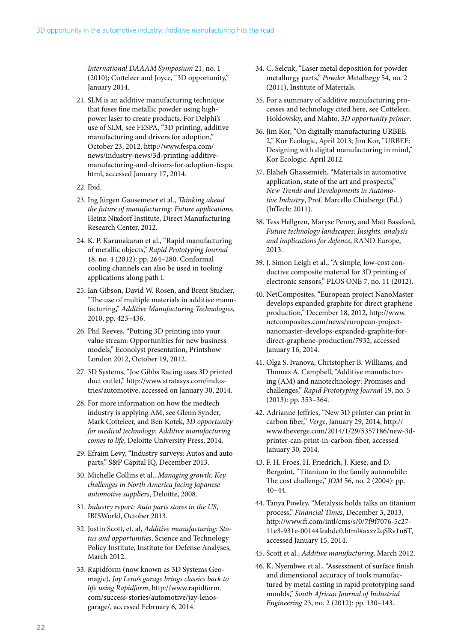*International DAAAM Symposium* 21, no. 1 (2010); Cotteleer and Joyce, "3D opportunity," January 2014.

- 21. SLM is an additive manufacturing technique that fuses fine metallic powder using highpower laser to create products. For Delphi's use of SLM, see FESPA, "3D printing, additive manufacturing and drivers for adoption," October 23, 2012, http://www.fespa.com/ news/industry-news/3d-printing-additivemanufacturing-and-drivers-for-adoption-fespa. html, accessed January 17, 2014.
- 22. Ibid.
- 23. Ing Jürgen Gausemeier et al., *Thinking ahead the future of manufacturing: Future applications*, Heinz Nixdorf Institute, Direct Manufacturing Research Center, 2012.
- 24. K. P. Karunakaran et al., "Rapid manufacturing of metallic objects," *Rapid Prototyping Journal*  18, no. 4 (2012): pp. 264–280. Conformal cooling channels can also be used in tooling applications along path I.
- 25. Ian Gibson, David W. Rosen, and Brent Stucker, "The use of multiple materials in additive manufacturing," *Additive Manufacturing Technologies*, 2010, pp. 423–436.
- 26. Phil Reeves, "Putting 3D printing into your value stream: Opportunities for new business models," Econolyst presentation, Printshow London 2012, October 19, 2012.
- 27. 3D Systems, "Joe Gibbs Racing uses 3D printed duct outlet," http://www.stratasys.com/industries/automotive, accessed on January 30, 2014.
- 28. For more information on how the medtech industry is applying AM, see Glenn Synder, Mark Cotteleer, and Ben Kotek, 3*D opportunity for medical technology: Additive manufacturing comes to life*, Deloitte University Press, 2014.
- 29. Efraim Levy, "Industry surveys: Autos and auto parts," S&P Capital IQ, December 2013.
- 30. Michelle Collins et al., *Managing growth: Key challenges in North America facing Japanese automotive suppliers*, Deloitte, 2008.
- 31. *Industry report: Auto parts stores in the US*, IBISWorld, October 2013.
- 32. Justin Scott, et. al, *Additive manufacturing: Status and opportunities*, Science and Technology Policy Institute, Institute for Defense Analyses, March 2012.
- 33. Rapidform (now known as 3D Systems Geomagic), *Jay Leno's garage brings classics back to life using Rapidform*, http://www.rapidform. com/success-stories/automotive/jay-lenosgarage/, accessed February 6, 2014.
- 34. C. Selcuk, "Laser metal deposition for powder metallurgy parts," *Powder Metallurgy* 54, no. 2 (2011), Institute of Materials.
- 35. For a summary of additive manufacturing processes and technology cited here, see Cotteleer, Holdowsky, and Mahto, *3D opportunity primer*.
- 36. Jim Kor, "On digitally manufacturing URBEE 2," Kor Ecologic, April 2013; Jim Kor, "URBEE: Designing with digital manufacturing in mind," Kor Ecologic, April 2012.
- 37. Elaheh Ghassemieh, "Materials in automotive application, state of the art and prospects," *New Trends and Developments in Automotive Industry*, Prof. Marcello Chiaberge (Ed.) (InTech: 2011).
- 38. Tess Hellgren, Maryse Penny, and Matt Bassford, *Future technology landscapes: Insights, analysis and implications for defence*, RAND Europe, 2013.
- 39. J. Simon Leigh et al., "A simple, low-cost conductive composite material for 3D printing of electronic sensors," PLOS ONE 7, no. 11 (2012).
- 40. NetComposites, "European project NanoMaster develops expanded graphite for direct graphene production," December 18, 2012, http://www. netcomposites.com/news/european-projectnanomaster-develops-expanded-graphite-fordirect-graphene-production/7932, accessed January 16, 2014.
- 41. Olga S. Ivanova, Christopher B. Williams, and Thomas A. Campbell, "Additive manufacturing (AM) and nanotechnology: Promises and challenges," *Rapid Prototyping Journal* 19, no. 5 (2013): pp. 353–364.
- 42. Adrianne Jeffries, "New 3D printer can print in carbon fiber," *Verge*, January 29, 2014, http:// www.theverge.com/2014/1/29/5357186/new-3dprinter-can-print-in-carbon-fiber, accessed January 30, 2014.
- 43. F. H. Froes, H. Friedrich, J. Kiese, and D. Bergoint, "Titanium in the family automobile: The cost challenge," *JOM* 56, no. 2 (2004): pp. 40–44.
- 44. Tanya Powley, "Metalysis holds talks on titanium process," *Financial Times*, December 3, 2013, http://www.ft.com/intl/cms/s/0/7f9f7076-5c27- 11e3-931e-00144feabdc0.html#axzz2qSRv1n6T, accessed January 15, 2014.
- 45. Scott et al., *Additive manufacturing*, March 2012.
- 46. K. Nyembwe et al., "Assessment of surface finish and dimensional accuracy of tools manufactured by metal casting in rapid prototyping sand moulds," *South African Journal of Industrial Engineering* 23, no. 2 (2012): pp. 130–143.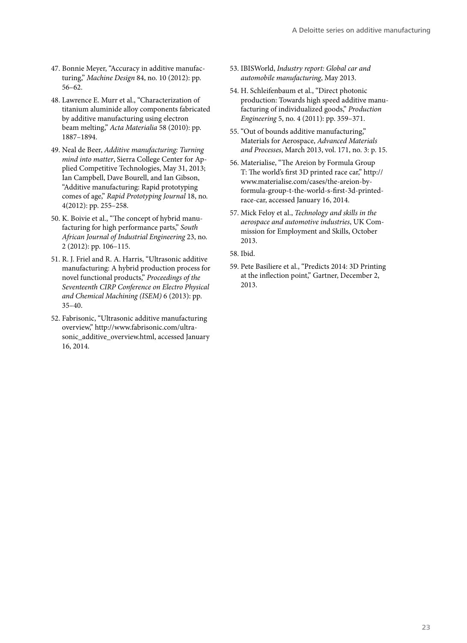- 47. Bonnie Meyer, "Accuracy in additive manufacturing," *Machine Design* 84, no. 10 (2012): pp. 56–62.
- 48. Lawrence E. Murr et al., "Characterization of titanium aluminide alloy components fabricated by additive manufacturing using electron beam melting," *Acta Materialia* 58 (2010): pp. 1887–1894.
- 49. Neal de Beer, *Additive manufacturing: Turning mind into matter*, Sierra College Center for Applied Competitive Technologies, May 31, 2013; Ian Campbell, Dave Bourell, and Ian Gibson, "Additive manufacturing: Rapid prototyping comes of age," *Rapid Prototyping Journal* 18, no. 4(2012): pp. 255–258.
- 50. K. Boivie et al., "The concept of hybrid manufacturing for high performance parts," *South African Journal of Industrial Engineering* 23, no. 2 (2012): pp. 106–115.
- 51. R. J. Friel and R. A. Harris, "Ultrasonic additive manufacturing: A hybrid production process for novel functional products," *Proceedings of the Seventeenth CIRP Conference on Electro Physical and Chemical Machining (ISEM)* 6 (2013): pp. 35–40.
- 52. Fabrisonic, "Ultrasonic additive manufacturing overview," http://www.fabrisonic.com/ultrasonic\_additive\_overview.html, accessed January 16, 2014.
- 53. IBISWorld, *Industry report: Global car and automobile manufacturing*, May 2013.
- 54. H. Schleifenbaum et al., "Direct photonic production: Towards high speed additive manufacturing of individualized goods," *Production Engineering* 5, no. 4 (2011): pp. 359–371.
- 55. "Out of bounds additive manufacturing," Materials for Aerospace, *Advanced Materials and Processes*, March 2013, vol. 171, no. 3: p. 15.
- 56. Materialise, "The Areion by Formula Group T: The world's first 3D printed race car," http:// www.materialise.com/cases/the-areion-byformula-group-t-the-world-s-first-3d-printedrace-car, accessed January 16, 2014.
- 57. Mick Feloy et al., *Technology and skills in the aerospace and automotive industries*, UK Commission for Employment and Skills, October 2013.
- 58. Ibid.
- 59. Pete Basiliere et al., "Predicts 2014: 3D Printing at the inflection point," Gartner, December 2, 2013.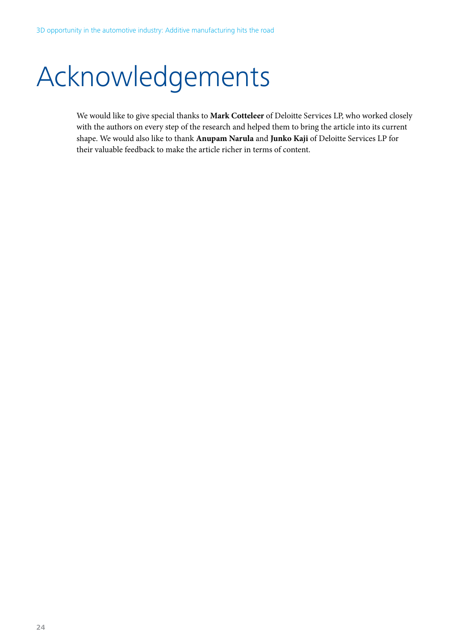# Acknowledgements

We would like to give special thanks to **Mark Cotteleer** of Deloitte Services LP, who worked closely with the authors on every step of the research and helped them to bring the article into its current shape. We would also like to thank **Anupam Narula** and **Junko Kaji** of Deloitte Services LP for their valuable feedback to make the article richer in terms of content.